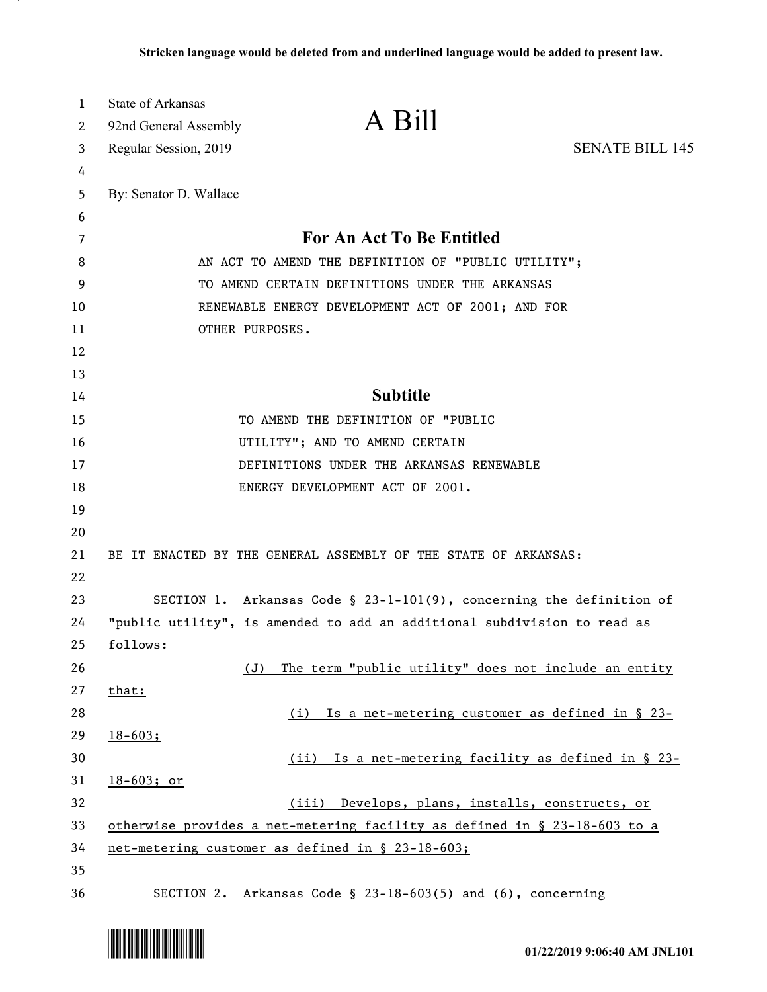| 1<br>2 | <b>State of Arkansas</b><br>92nd General Assembly                                | A Bill                                                      |                        |
|--------|----------------------------------------------------------------------------------|-------------------------------------------------------------|------------------------|
| 3      | Regular Session, 2019                                                            |                                                             | <b>SENATE BILL 145</b> |
| 4      |                                                                                  |                                                             |                        |
| 5      | By: Senator D. Wallace                                                           |                                                             |                        |
| 6      |                                                                                  |                                                             |                        |
| 7      | For An Act To Be Entitled                                                        |                                                             |                        |
| 8      | AN ACT TO AMEND THE DEFINITION OF "PUBLIC UTILITY";                              |                                                             |                        |
| 9      | TO AMEND CERTAIN DEFINITIONS UNDER THE ARKANSAS                                  |                                                             |                        |
| 10     | RENEWABLE ENERGY DEVELOPMENT ACT OF 2001; AND FOR                                |                                                             |                        |
| 11     | OTHER PURPOSES.                                                                  |                                                             |                        |
| 12     |                                                                                  |                                                             |                        |
| 13     |                                                                                  |                                                             |                        |
| 14     | <b>Subtitle</b>                                                                  |                                                             |                        |
| 15     | TO AMEND THE DEFINITION OF "PUBLIC                                               |                                                             |                        |
| 16     | UTILITY"; AND TO AMEND CERTAIN                                                   |                                                             |                        |
| 17     | DEFINITIONS UNDER THE ARKANSAS RENEWABLE                                         |                                                             |                        |
| 18     |                                                                                  | ENERGY DEVELOPMENT ACT OF 2001.                             |                        |
| 19     |                                                                                  |                                                             |                        |
| 20     |                                                                                  |                                                             |                        |
| 21     | BE IT ENACTED BY THE GENERAL ASSEMBLY OF THE STATE OF ARKANSAS:                  |                                                             |                        |
| 22     |                                                                                  |                                                             |                        |
| 23     | SECTION 1. Arkansas Code § 23-1-101(9), concerning the definition of             |                                                             |                        |
| 24     | "public utility", is amended to add an additional subdivision to read as         |                                                             |                        |
| 25     | follows:                                                                         |                                                             |                        |
| 26     | (J)                                                                              | The term "public utility" does not include an entity        |                        |
| 27     | that:                                                                            |                                                             |                        |
| 28     |                                                                                  | (i) Is a net-metering customer as defined in § 23-          |                        |
| 29     | $18 - 603;$                                                                      |                                                             |                        |
| 30     |                                                                                  | (ii) Is a net-metering facility as defined in § 23-         |                        |
| 31     | $18-603;$ or                                                                     |                                                             |                        |
| 32     | (iii) Develops, plans, installs, constructs, or                                  |                                                             |                        |
| 33     | <u>otherwise provides a net-metering facility as defined in § 23-18-603 to a</u> |                                                             |                        |
| 34     | net-metering customer as defined in § 23-18-603;                                 |                                                             |                        |
| 35     |                                                                                  |                                                             |                        |
| 36     |                                                                                  | SECTION 2. Arkansas Code § 23-18-603(5) and (6), concerning |                        |